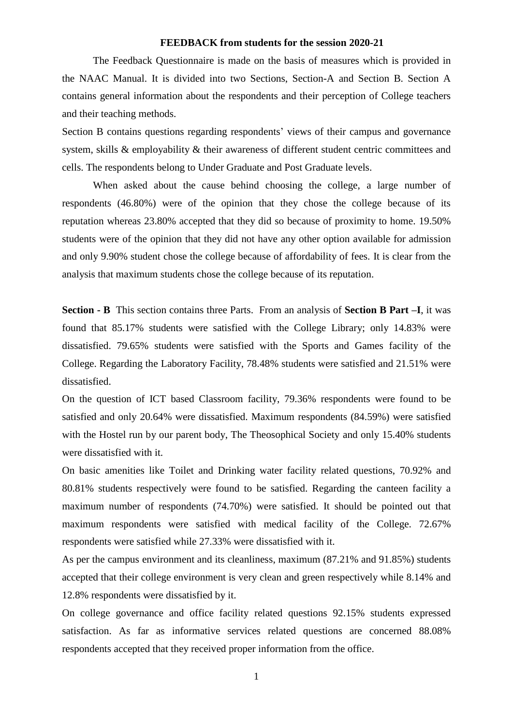#### **FEEDBACK from students for the session 2020-21**

The Feedback Questionnaire is made on the basis of measures which is provided in the NAAC Manual. It is divided into two Sections, Section-A and Section B. Section A contains general information about the respondents and their perception of College teachers and their teaching methods.

Section B contains questions regarding respondents' views of their campus and governance system, skills & employability & their awareness of different student centric committees and cells. The respondents belong to Under Graduate and Post Graduate levels.

When asked about the cause behind choosing the college, a large number of respondents (46.80%) were of the opinion that they chose the college because of its reputation whereas 23.80% accepted that they did so because of proximity to home. 19.50% students were of the opinion that they did not have any other option available for admission and only 9.90% student chose the college because of affordability of fees. It is clear from the analysis that maximum students chose the college because of its reputation.

**Section - B** This section contains three Parts. From an analysis of **Section B Part –I**, it was found that 85.17% students were satisfied with the College Library; only 14.83% were dissatisfied. 79.65% students were satisfied with the Sports and Games facility of the College. Regarding the Laboratory Facility, 78.48% students were satisfied and 21.51% were dissatisfied.

On the question of ICT based Classroom facility, 79.36% respondents were found to be satisfied and only 20.64% were dissatisfied. Maximum respondents (84.59%) were satisfied with the Hostel run by our parent body, The Theosophical Society and only 15.40% students were dissatisfied with it.

On basic amenities like Toilet and Drinking water facility related questions, 70.92% and 80.81% students respectively were found to be satisfied. Regarding the canteen facility a maximum number of respondents (74.70%) were satisfied. It should be pointed out that maximum respondents were satisfied with medical facility of the College. 72.67% respondents were satisfied while 27.33% were dissatisfied with it.

As per the campus environment and its cleanliness, maximum (87.21% and 91.85%) students accepted that their college environment is very clean and green respectively while 8.14% and 12.8% respondents were dissatisfied by it.

On college governance and office facility related questions 92.15% students expressed satisfaction. As far as informative services related questions are concerned 88.08% respondents accepted that they received proper information from the office.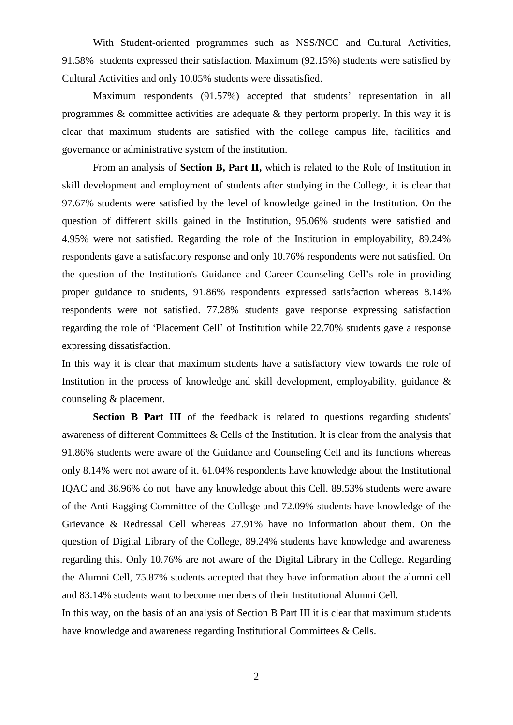With Student-oriented programmes such as NSS/NCC and Cultural Activities, 91.58% students expressed their satisfaction. Maximum (92.15%) students were satisfied by Cultural Activities and only 10.05% students were dissatisfied.

Maximum respondents (91.57%) accepted that students' representation in all programmes & committee activities are adequate & they perform properly. In this way it is clear that maximum students are satisfied with the college campus life, facilities and governance or administrative system of the institution.

From an analysis of **Section B, Part II,** which is related to the Role of Institution in skill development and employment of students after studying in the College, it is clear that 97.67% students were satisfied by the level of knowledge gained in the Institution. On the question of different skills gained in the Institution, 95.06% students were satisfied and 4.95% were not satisfied. Regarding the role of the Institution in employability, 89.24% respondents gave a satisfactory response and only 10.76% respondents were not satisfied. On the question of the Institution's Guidance and Career Counseling Cell's role in providing proper guidance to students, 91.86% respondents expressed satisfaction whereas 8.14% respondents were not satisfied. 77.28% students gave response expressing satisfaction regarding the role of 'Placement Cell' of Institution while 22.70% students gave a response expressing dissatisfaction.

In this way it is clear that maximum students have a satisfactory view towards the role of Institution in the process of knowledge and skill development, employability, guidance  $\&$ counseling & placement.

**Section B Part III** of the feedback is related to questions regarding students' awareness of different Committees & Cells of the Institution. It is clear from the analysis that 91.86% students were aware of the Guidance and Counseling Cell and its functions whereas only 8.14% were not aware of it. 61.04% respondents have knowledge about the Institutional IQAC and 38.96% do not have any knowledge about this Cell. 89.53% students were aware of the Anti Ragging Committee of the College and 72.09% students have knowledge of the Grievance & Redressal Cell whereas 27.91% have no information about them. On the question of Digital Library of the College, 89.24% students have knowledge and awareness regarding this. Only 10.76% are not aware of the Digital Library in the College. Regarding the Alumni Cell, 75.87% students accepted that they have information about the alumni cell and 83.14% students want to become members of their Institutional Alumni Cell.

In this way, on the basis of an analysis of Section B Part III it is clear that maximum students have knowledge and awareness regarding Institutional Committees & Cells.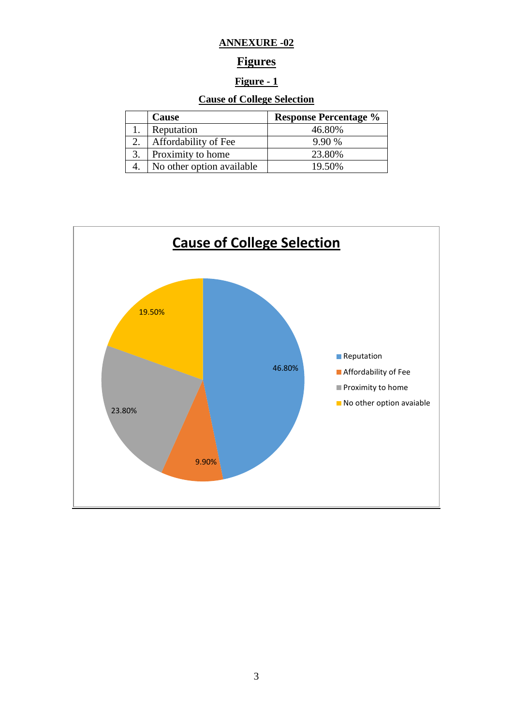#### **ANNEXURE -02**

### **Figures**

#### **Figure - 1**

#### **Cause of College Selection**

| <b>Cause</b>              | <b>Response Percentage %</b> |
|---------------------------|------------------------------|
| Reputation                | 46.80%                       |
| Affordability of Fee      | 9.90%                        |
| Proximity to home         | 23.80%                       |
| No other option available | 19.50%                       |

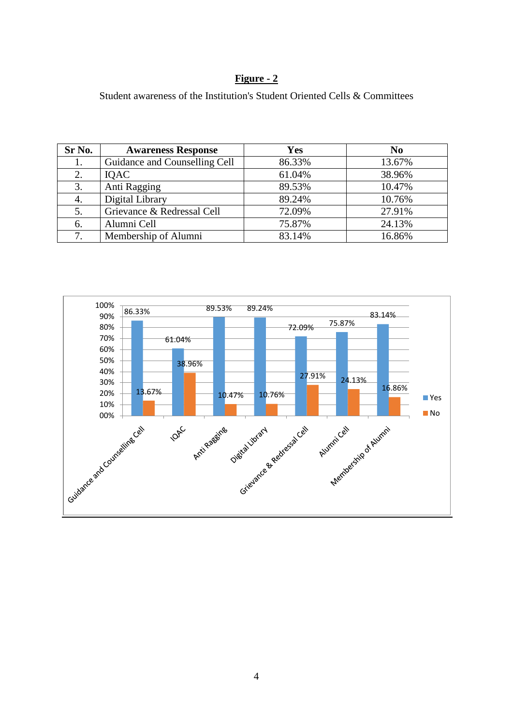#### **Figure - 2**

Student awareness of the Institution's Student Oriented Cells & Committees

| Sr No. | <b>Awareness Response</b>     | <b>Yes</b> | N <sub>0</sub> |
|--------|-------------------------------|------------|----------------|
| 1.     | Guidance and Counselling Cell | 86.33%     | 13.67%         |
| 2.     | <b>IOAC</b>                   | 61.04%     | 38.96%         |
| 3.     | Anti Ragging                  | 89.53%     | 10.47%         |
| 4.     | Digital Library               | 89.24%     | 10.76%         |
| 5.     | Grievance & Redressal Cell    | 72.09%     | 27.91%         |
| 6.     | Alumni Cell                   | 75.87%     | 24.13%         |
| 7.     | Membership of Alumni          | 83.14%     | 16.86%         |

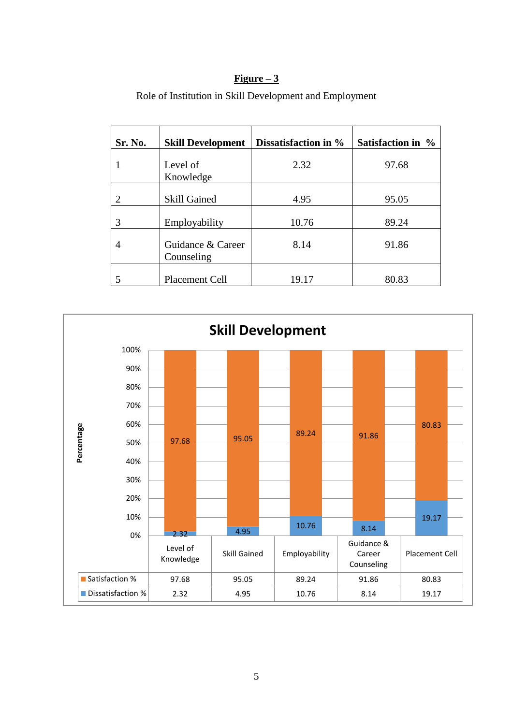#### **Figure – 3**

| Sr. No. | <b>Skill Development</b>        | Dissatisfaction in % | Satisfaction in % |
|---------|---------------------------------|----------------------|-------------------|
|         | Level of<br>Knowledge           | 2.32                 | 97.68             |
| 2       | <b>Skill Gained</b>             | 4.95                 | 95.05             |
| 3       | Employability                   | 10.76                | 89.24             |
| 4       | Guidance & Career<br>Counseling | 8.14                 | 91.86             |
|         | Placement Cell                  | 19.17                | 80.83             |

Role of Institution in Skill Development and Employment

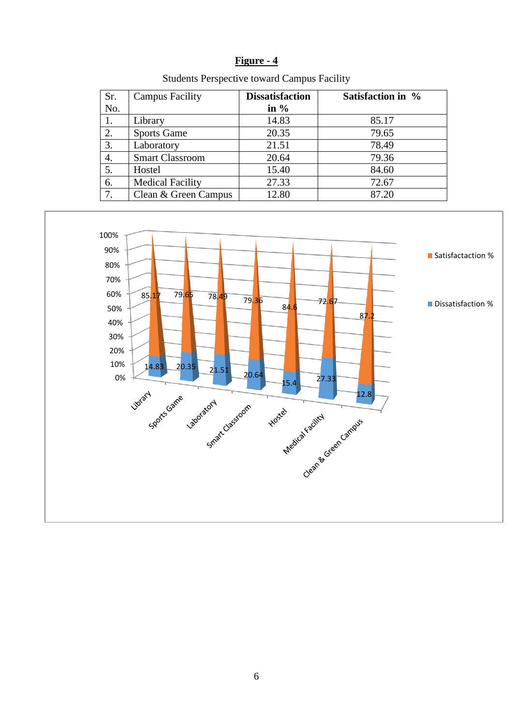| H٦<br>IØ111r | e |  |
|--------------|---|--|
|              |   |  |

| Sr. | <b>Campus Facility</b>  | <b>Dissatisfaction</b> | Satisfaction in % |
|-----|-------------------------|------------------------|-------------------|
| No. |                         | in $%$                 |                   |
| 1.  | Library                 | 14.83                  | 85.17             |
| 2.  | <b>Sports Game</b>      | 20.35                  | 79.65             |
| 3.  | Laboratory              | 21.51                  | 78.49             |
| 4.  | <b>Smart Classroom</b>  | 20.64                  | 79.36             |
| 5.  | Hostel                  | 15.40                  | 84.60             |
| 6.  | <b>Medical Facility</b> | 27.33                  | 72.67             |
| 7.  | Clean & Green Campus    | 12.80                  | 87.20             |

Students Perspective toward Campus Facility

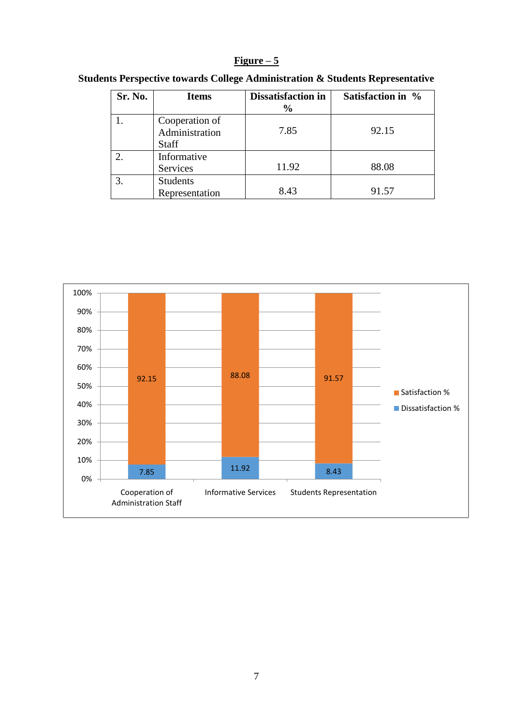#### **Figure – 5**

| Sr. No. | <b>Items</b>                                     | <b>Dissatisfaction in</b><br>$\frac{6}{9}$ | Satisfaction in % |
|---------|--------------------------------------------------|--------------------------------------------|-------------------|
|         | Cooperation of<br>Administration<br><b>Staff</b> | 7.85                                       | 92.15             |
|         | Informative<br>Services                          | 11.92                                      | 88.08             |
|         | <b>Students</b><br>Representation                | 8.43                                       | 91.57             |

#### **Students Perspective towards College Administration & Students Representative**

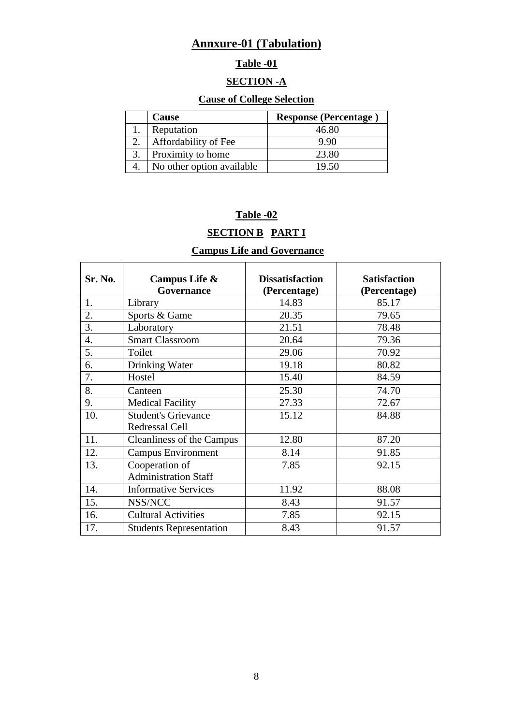## **Annxure-01 (Tabulation)**

## **Table -01**

#### **SECTION -A**

#### **Cause of College Selection**

| <b>Cause</b>              | <b>Response (Percentage)</b> |
|---------------------------|------------------------------|
| Reputation                | 46.80                        |
| Affordability of Fee      | 9.90                         |
| Proximity to home         | 23.80                        |
| No other option available | 19 50                        |

### **Table -02**

## **SECTION B PART I**

### **Campus Life and Governance**

| Sr. No. | Campus Life &                  | <b>Dissatisfaction</b> | <b>Satisfaction</b> |
|---------|--------------------------------|------------------------|---------------------|
|         | Governance                     | (Percentage)           | (Percentage)        |
| 1.      | Library                        | 14.83                  | 85.17               |
| 2.      | Sports & Game                  | 20.35                  | 79.65               |
| 3.      | Laboratory                     | 21.51                  | 78.48               |
| 4.      | <b>Smart Classroom</b>         | 20.64                  | 79.36               |
| 5.      | Toilet                         | 29.06                  | 70.92               |
| 6.      | Drinking Water                 | 19.18                  | 80.82               |
| 7.      | Hostel                         | 15.40                  | 84.59               |
| 8.      | Canteen                        | 25.30                  | 74.70               |
| 9.      | <b>Medical Facility</b>        | 27.33                  | 72.67               |
| 10.     | <b>Student's Grievance</b>     | 15.12                  | 84.88               |
|         | Redressal Cell                 |                        |                     |
| 11.     | Cleanliness of the Campus      | 12.80                  | 87.20               |
| 12.     | <b>Campus Environment</b>      | 8.14                   | 91.85               |
| 13.     | Cooperation of                 | 7.85                   | 92.15               |
|         | <b>Administration Staff</b>    |                        |                     |
| 14.     | <b>Informative Services</b>    | 11.92                  | 88.08               |
| 15.     | NSS/NCC                        | 8.43                   | 91.57               |
| 16.     | <b>Cultural Activities</b>     | 7.85                   | 92.15               |
| 17.     | <b>Students Representation</b> | 8.43                   | 91.57               |